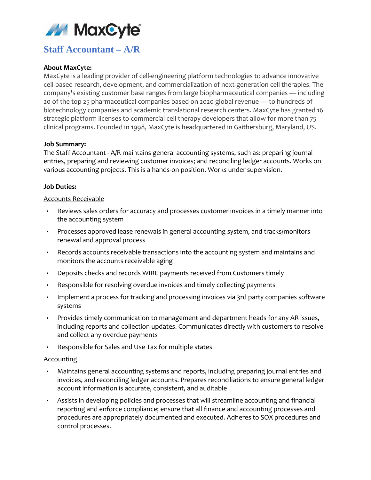

# **Staff Accountant – A/R**

## **About MaxCyte:**

MaxCyte is a leading provider of cell-engineering platform technologies to advance innovative cell-based research, development, and commercialization of next-generation cell therapies. The company's existing customer base ranges from large biopharmaceutical companies — including 20 of the top 25 pharmaceutical companies based on 2020 global revenue — to hundreds of biotechnology companies and academic translational research centers. MaxCyte has granted 16 strategic platform licenses to commercial cell therapy developers that allow for more than 75 clinical programs. Founded in 1998, MaxCyte is headquartered in Gaithersburg, Maryland, US.

### **Job Summary:**

The Staff Accountant - A/R maintains general accounting systems, such as: preparing journal entries, preparing and reviewing customer invoices; and reconciling ledger accounts. Works on various accounting projects. This is a hands-on position. Works under supervision.

## **Job Duties:**

### Accounts Receivable

- Reviews sales orders for accuracy and processes customer invoices in a timely manner into the accounting system
- Processes approved lease renewals in general accounting system, and tracks/monitors renewal and approval process
- Records accounts receivable transactions into the accounting system and maintains and monitors the accounts receivable aging
- Deposits checks and records WIRE payments received from Customers timely
- Responsible for resolving overdue invoices and timely collecting payments
- Implement a process for tracking and processing invoices via 3rd party companies software systems
- Provides timely communication to management and department heads for any AR issues, including reports and collection updates. Communicates directly with customers to resolve and collect any overdue payments
- Responsible for Sales and Use Tax for multiple states

### **Accounting**

- Maintains general accounting systems and reports, including preparing journal entries and invoices, and reconciling ledger accounts. Prepares reconciliations to ensure general ledger account information is accurate, consistent, and auditable
- Assists in developing policies and processes that will streamline accounting and financial reporting and enforce compliance; ensure that all finance and accounting processes and procedures are appropriately documented and executed. Adheres to SOX procedures and control processes.